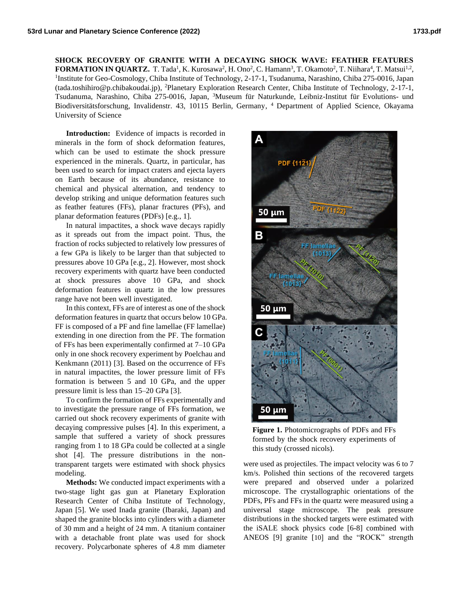**SHOCK RECOVERY OF GRANITE WITH A DECAYING SHOCK WAVE: FEATHER FEATURES**   ${\bf FORMATION IN QUARTZ.}$  T. Tada<sup>1</sup>, K. Kurosawa<sup>2</sup>, H. Ono<sup>2</sup>, C. Hamann<sup>3</sup>, T. Okamoto<sup>2</sup>, T. Niihara<sup>4</sup>, T. Matsui<sup>1,2</sup>, <sup>1</sup>Institute for Geo-Cosmology, Chiba Institute of Technology, 2-17-1, Tsudanuma, Narashino, Chiba 275-0016, Japan (tada.toshihiro@p.chibakoudai.jp), <sup>2</sup>Planetary Exploration Research Center, Chiba Institute of Technology, 2-17-1, Tsudanuma, Narashino, Chiba 275-0016, Japan, <sup>3</sup>Museum für Naturkunde, Leibniz-Institut für Evolutions- und Biodiversitätsforschung, Invalidenstr. 43, 10115 Berlin, Germany, <sup>4</sup> Department of Applied Science, Okayama University of Science

**Introduction:** Evidence of impacts is recorded in minerals in the form of shock deformation features, which can be used to estimate the shock pressure experienced in the minerals. Quartz, in particular, has been used to search for impact craters and ejecta layers on Earth because of its abundance, resistance to chemical and physical alternation, and tendency to develop striking and unique deformation features such as feather features (FFs), planar fractures (PFs), and planar deformation features (PDFs) [e.g., 1].

In natural impactites, a shock wave decays rapidly as it spreads out from the impact point. Thus, the fraction of rocks subjected to relatively low pressures of a few GPa is likely to be larger than that subjected to pressures above 10 GPa [e.g., 2]. However, most shock recovery experiments with quartz have been conducted at shock pressures above 10 GPa, and shock deformation features in quartz in the low pressures range have not been well investigated.

In this context, FFs are of interest as one of the shock deformation features in quartz that occurs below 10 GPa. FF is composed of a PF and fine lamellae (FF lamellae) extending in one direction from the PF. The formation of FFs has been experimentally confirmed at 7–10 GPa only in one shock recovery experiment by Poelchau and Kenkmann (2011) [3]. Based on the occurrence of FFs in natural impactites, the lower pressure limit of FFs formation is between 5 and 10 GPa, and the upper pressure limit is less than 15–20 GPa [3].

To confirm the formation of FFs experimentally and to investigate the pressure range of FFs formation, we carried out shock recovery experiments of granite with decaying compressive pulses [4]. In this experiment, a sample that suffered a variety of shock pressures ranging from 1 to 18 GPa could be collected at a single shot [4]. The pressure distributions in the nontransparent targets were estimated with shock physics modeling.

**Methods:** We conducted impact experiments with a two-stage light gas gun at Planetary Exploration Research Center of Chiba Institute of Technology, Japan [5]. We used Inada granite (Ibaraki, Japan) and shaped the granite blocks into cylinders with a diameter of 30 mm and a height of 24 mm. A titanium container with a detachable front plate was used for shock recovery. Polycarbonate spheres of 4.8 mm diameter



**Figure 1.** Photomicrographs of PDFs and FFs formed by the shock recovery experiments of this study (crossed nicols).

were used as projectiles. The impact velocity was 6 to 7 km/s. Polished thin sections of the recovered targets were prepared and observed under a polarized microscope. The crystallographic orientations of the PDFs, PFs and FFs in the quartz were measured using a universal stage microscope. The peak pressure distributions in the shocked targets were estimated with the iSALE shock physics code [6-8] combined with ANEOS [9] granite [10] and the "ROCK" strength